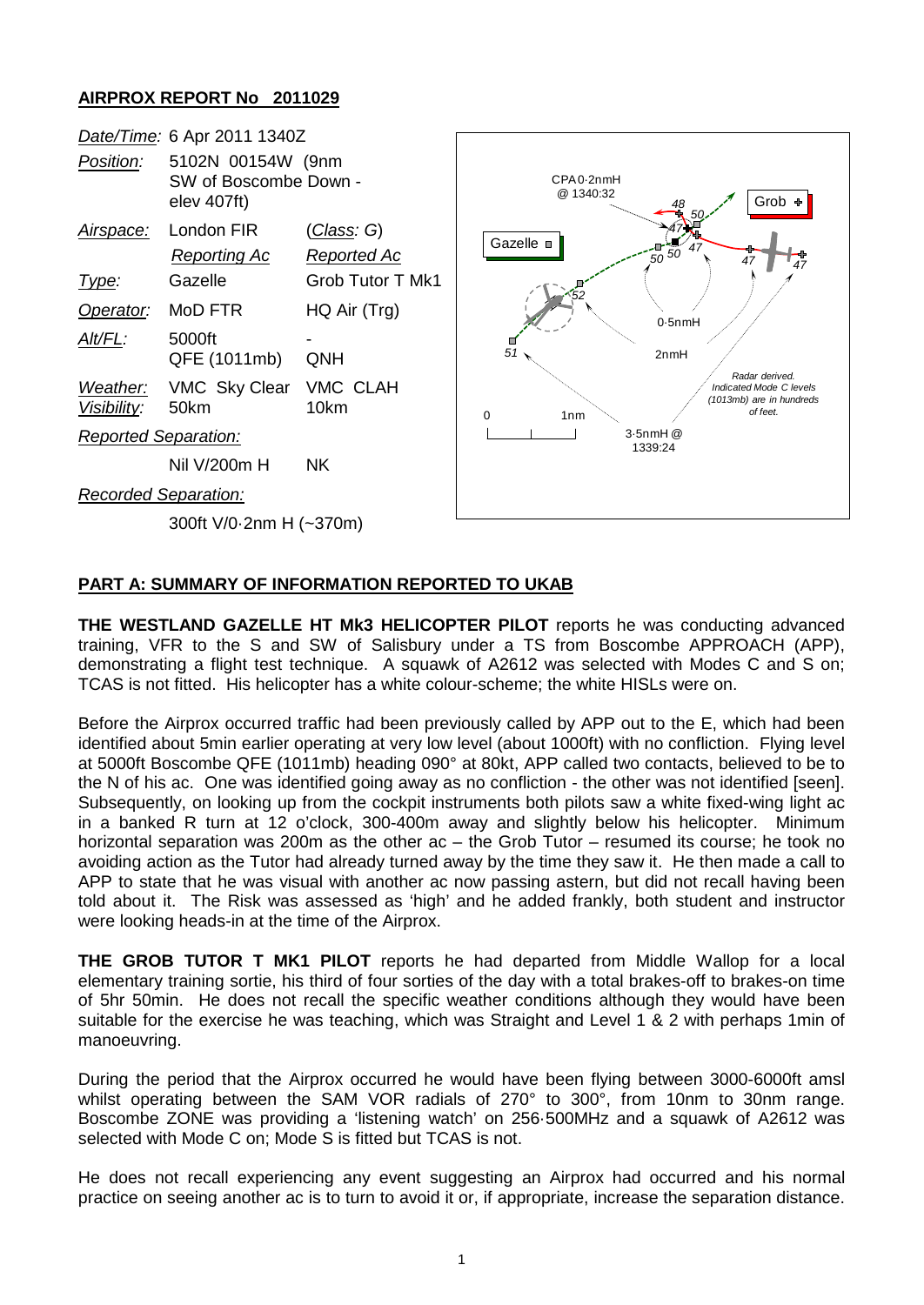## **AIRPROX REPORT No 2011029**



## **PART A: SUMMARY OF INFORMATION REPORTED TO UKAB**

**THE WESTLAND GAZELLE HT Mk3 HELICOPTER PILOT** reports he was conducting advanced training, VFR to the S and SW of Salisbury under a TS from Boscombe APPROACH (APP), demonstrating a flight test technique. A squawk of A2612 was selected with Modes C and S on; TCAS is not fitted. His helicopter has a white colour-scheme; the white HISLs were on.

Before the Airprox occurred traffic had been previously called by APP out to the E, which had been identified about 5min earlier operating at very low level (about 1000ft) with no confliction. Flying level at 5000ft Boscombe QFE (1011mb) heading 090° at 80kt, APP called two contacts, believed to be to the N of his ac. One was identified going away as no confliction - the other was not identified [seen]. Subsequently, on looking up from the cockpit instruments both pilots saw a white fixed-wing light ac in a banked R turn at 12 o'clock, 300-400m away and slightly below his helicopter. Minimum horizontal separation was 200m as the other ac – the Grob Tutor – resumed its course; he took no avoiding action as the Tutor had already turned away by the time they saw it. He then made a call to APP to state that he was visual with another ac now passing astern, but did not recall having been told about it. The Risk was assessed as 'high' and he added frankly, both student and instructor were looking heads-in at the time of the Airprox.

**THE GROB TUTOR T MK1 PILOT** reports he had departed from Middle Wallop for a local elementary training sortie, his third of four sorties of the day with a total brakes-off to brakes-on time of 5hr 50min. He does not recall the specific weather conditions although they would have been suitable for the exercise he was teaching, which was Straight and Level 1 & 2 with perhaps 1min of manoeuvring.

During the period that the Airprox occurred he would have been flying between 3000-6000ft amsl whilst operating between the SAM VOR radials of 270° to 300°, from 10nm to 30nm range. Boscombe ZONE was providing a 'listening watch' on 256·500MHz and a squawk of A2612 was selected with Mode C on; Mode S is fitted but TCAS is not.

He does not recall experiencing any event suggesting an Airprox had occurred and his normal practice on seeing another ac is to turn to avoid it or, if appropriate, increase the separation distance.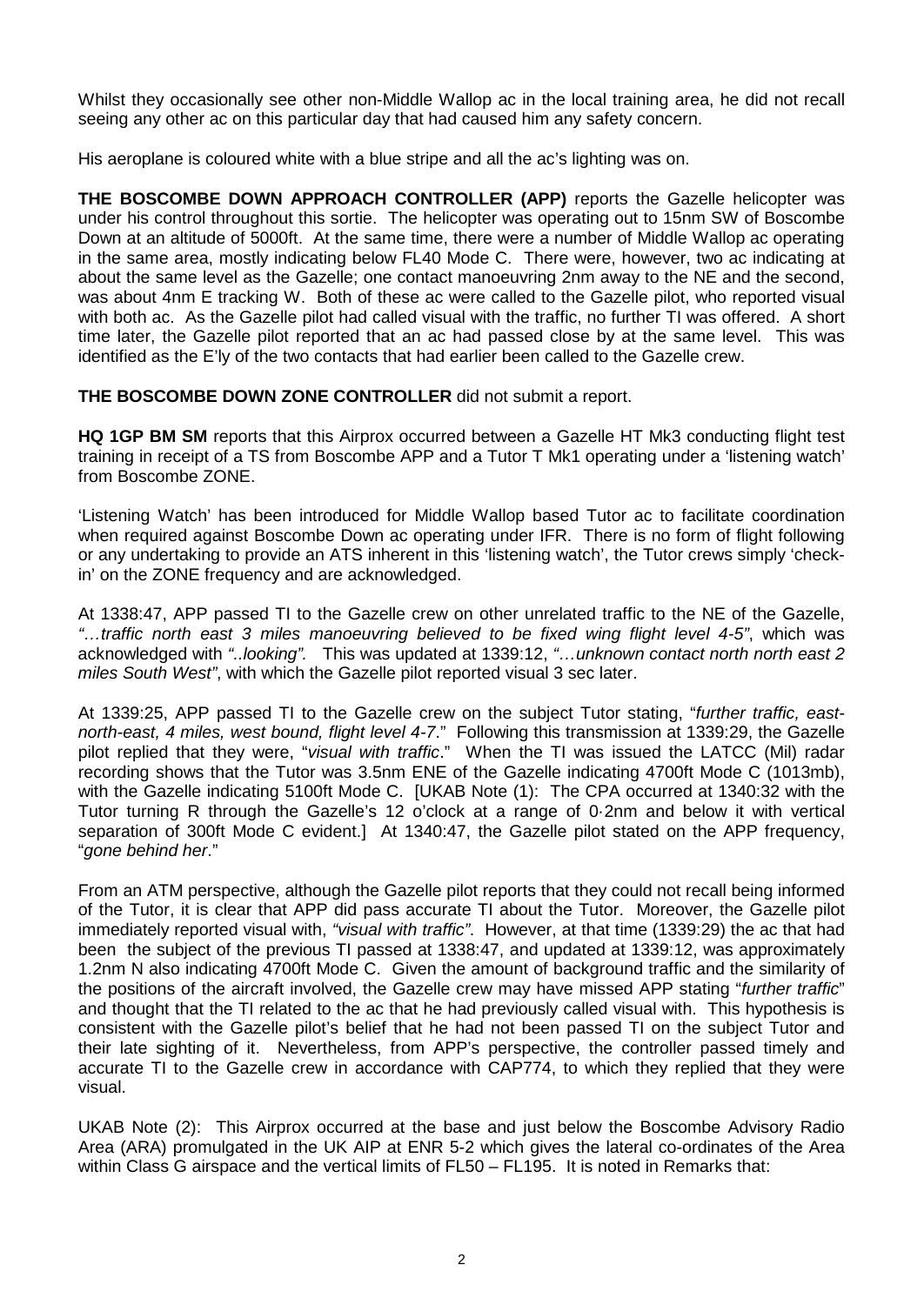Whilst they occasionally see other non-Middle Wallop ac in the local training area, he did not recall seeing any other ac on this particular day that had caused him any safety concern.

His aeroplane is coloured white with a blue stripe and all the ac's lighting was on.

**THE BOSCOMBE DOWN APPROACH CONTROLLER (APP)** reports the Gazelle helicopter was under his control throughout this sortie. The helicopter was operating out to 15nm SW of Boscombe Down at an altitude of 5000ft. At the same time, there were a number of Middle Wallop ac operating in the same area, mostly indicating below FL40 Mode C. There were, however, two ac indicating at about the same level as the Gazelle; one contact manoeuvring 2nm away to the NE and the second, was about 4nm E tracking W. Both of these ac were called to the Gazelle pilot, who reported visual with both ac. As the Gazelle pilot had called visual with the traffic, no further TI was offered. A short time later, the Gazelle pilot reported that an ac had passed close by at the same level. This was identified as the E'ly of the two contacts that had earlier been called to the Gazelle crew.

**THE BOSCOMBE DOWN ZONE CONTROLLER** did not submit a report.

**HQ 1GP BM SM** reports that this Airprox occurred between a Gazelle HT Mk3 conducting flight test training in receipt of a TS from Boscombe APP and a Tutor T Mk1 operating under a 'listening watch' from Boscombe ZONE.

'Listening Watch' has been introduced for Middle Wallop based Tutor ac to facilitate coordination when required against Boscombe Down ac operating under IFR. There is no form of flight following or any undertaking to provide an ATS inherent in this 'listening watch', the Tutor crews simply 'checkin' on the ZONE frequency and are acknowledged.

At 1338:47, APP passed TI to the Gazelle crew on other unrelated traffic to the NE of the Gazelle, *"…traffic north east 3 miles manoeuvring believed to be fixed wing flight level 4-5"*, which was acknowledged with *"..looking".* This was updated at 1339:12, *"…unknown contact north north east 2 miles South West"*, with which the Gazelle pilot reported visual 3 sec later.

At 1339:25, APP passed TI to the Gazelle crew on the subject Tutor stating, "*further traffic, eastnorth-east, 4 miles, west bound, flight level 4-7*." Following this transmission at 1339:29, the Gazelle pilot replied that they were, "*visual with traffic*." When the TI was issued the LATCC (Mil) radar recording shows that the Tutor was 3.5nm ENE of the Gazelle indicating 4700ft Mode C (1013mb), with the Gazelle indicating 5100ft Mode C. [UKAB Note (1): The CPA occurred at 1340:32 with the Tutor turning R through the Gazelle's 12 o'clock at a range of 0·2nm and below it with vertical separation of 300ft Mode C evident.] At 1340:47, the Gazelle pilot stated on the APP frequency, "*gone behind her*."

From an ATM perspective, although the Gazelle pilot reports that they could not recall being informed of the Tutor, it is clear that APP did pass accurate TI about the Tutor. Moreover, the Gazelle pilot immediately reported visual with, *"visual with traffic"*. However, at that time (1339:29) the ac that had been the subject of the previous TI passed at 1338:47, and updated at 1339:12, was approximately 1.2nm N also indicating 4700ft Mode C. Given the amount of background traffic and the similarity of the positions of the aircraft involved, the Gazelle crew may have missed APP stating "*further traffic*" and thought that the TI related to the ac that he had previously called visual with. This hypothesis is consistent with the Gazelle pilot's belief that he had not been passed TI on the subject Tutor and their late sighting of it. Nevertheless, from APP's perspective, the controller passed timely and accurate TI to the Gazelle crew in accordance with CAP774, to which they replied that they were visual.

UKAB Note (2): This Airprox occurred at the base and just below the Boscombe Advisory Radio Area (ARA) promulgated in the UK AIP at ENR 5-2 which gives the lateral co-ordinates of the Area within Class G airspace and the vertical limits of FL50 – FL195. It is noted in Remarks that: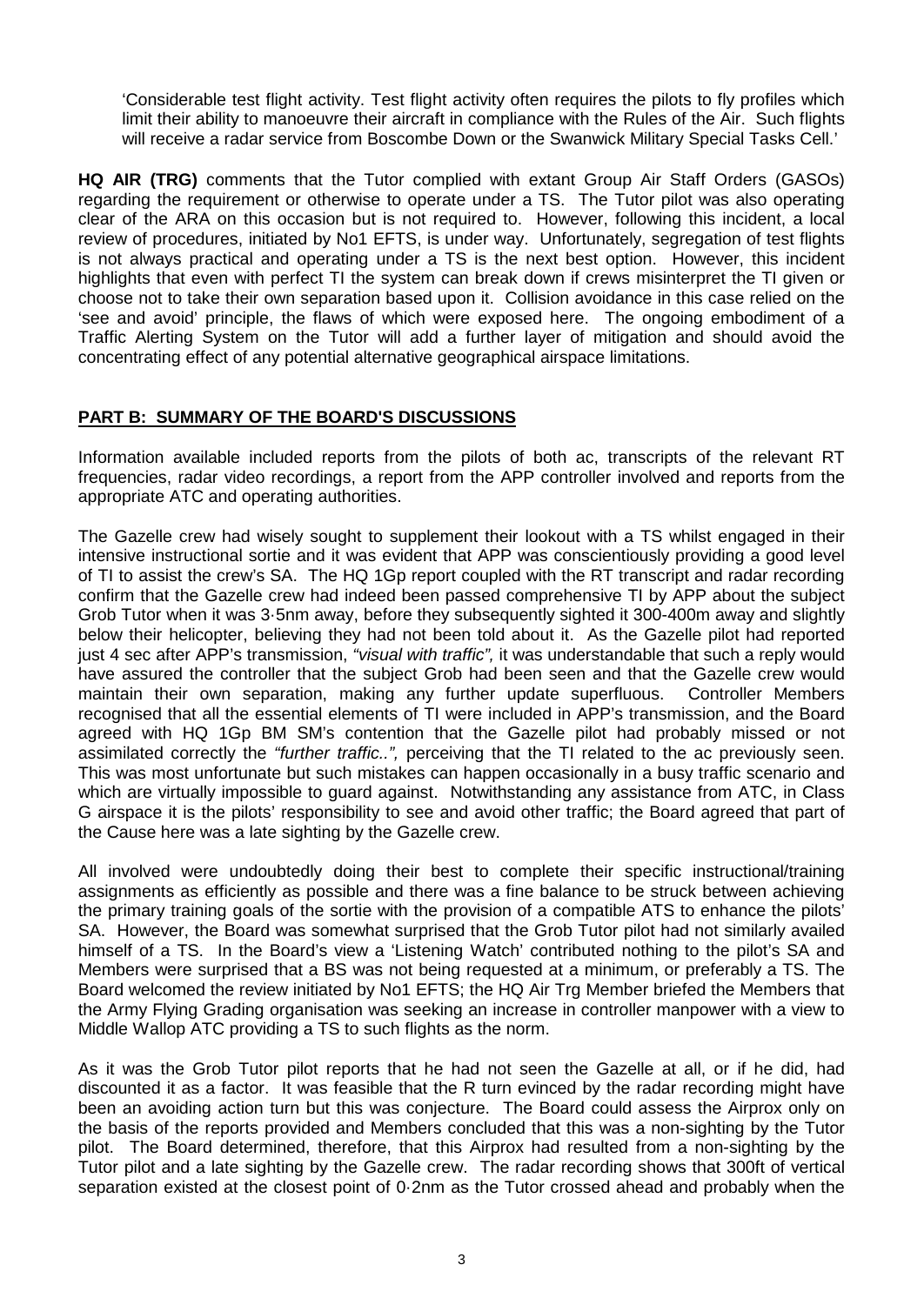'Considerable test flight activity. Test flight activity often requires the pilots to fly profiles which limit their ability to manoeuvre their aircraft in compliance with the Rules of the Air. Such flights will receive a radar service from Boscombe Down or the Swanwick Military Special Tasks Cell.'

**HQ AIR (TRG)** comments that the Tutor complied with extant Group Air Staff Orders (GASOs) regarding the requirement or otherwise to operate under a TS. The Tutor pilot was also operating clear of the ARA on this occasion but is not required to. However, following this incident, a local review of procedures, initiated by No1 EFTS, is under way. Unfortunately, segregation of test flights is not always practical and operating under a TS is the next best option. However, this incident highlights that even with perfect TI the system can break down if crews misinterpret the TI given or choose not to take their own separation based upon it. Collision avoidance in this case relied on the 'see and avoid' principle, the flaws of which were exposed here. The ongoing embodiment of a Traffic Alerting System on the Tutor will add a further layer of mitigation and should avoid the concentrating effect of any potential alternative geographical airspace limitations.

## **PART B: SUMMARY OF THE BOARD'S DISCUSSIONS**

Information available included reports from the pilots of both ac, transcripts of the relevant RT frequencies, radar video recordings, a report from the APP controller involved and reports from the appropriate ATC and operating authorities.

The Gazelle crew had wisely sought to supplement their lookout with a TS whilst engaged in their intensive instructional sortie and it was evident that APP was conscientiously providing a good level of TI to assist the crew's SA. The HQ 1Gp report coupled with the RT transcript and radar recording confirm that the Gazelle crew had indeed been passed comprehensive TI by APP about the subject Grob Tutor when it was 3·5nm away, before they subsequently sighted it 300-400m away and slightly below their helicopter, believing they had not been told about it. As the Gazelle pilot had reported just 4 sec after APP's transmission, *"visual with traffic",* it was understandable that such a reply would have assured the controller that the subject Grob had been seen and that the Gazelle crew would<br>maintain their own separation, making any further update superfluous. Controller Members maintain their own separation, making any further update superfluous. recognised that all the essential elements of TI were included in APP's transmission, and the Board agreed with HQ 1Gp BM SM's contention that the Gazelle pilot had probably missed or not assimilated correctly the *"further traffic..",* perceiving that the TI related to the ac previously seen. This was most unfortunate but such mistakes can happen occasionally in a busy traffic scenario and which are virtually impossible to guard against. Notwithstanding any assistance from ATC, in Class G airspace it is the pilots' responsibility to see and avoid other traffic; the Board agreed that part of the Cause here was a late sighting by the Gazelle crew.

All involved were undoubtedly doing their best to complete their specific instructional/training assignments as efficiently as possible and there was a fine balance to be struck between achieving the primary training goals of the sortie with the provision of a compatible ATS to enhance the pilots' SA. However, the Board was somewhat surprised that the Grob Tutor pilot had not similarly availed himself of a TS. In the Board's view a 'Listening Watch' contributed nothing to the pilot's SA and Members were surprised that a BS was not being requested at a minimum, or preferably a TS. The Board welcomed the review initiated by No1 EFTS; the HQ Air Trg Member briefed the Members that the Army Flying Grading organisation was seeking an increase in controller manpower with a view to Middle Wallop ATC providing a TS to such flights as the norm.

As it was the Grob Tutor pilot reports that he had not seen the Gazelle at all, or if he did, had discounted it as a factor. It was feasible that the R turn evinced by the radar recording might have been an avoiding action turn but this was conjecture. The Board could assess the Airprox only on the basis of the reports provided and Members concluded that this was a non-sighting by the Tutor pilot. The Board determined, therefore, that this Airprox had resulted from a non-sighting by the Tutor pilot and a late sighting by the Gazelle crew. The radar recording shows that 300ft of vertical separation existed at the closest point of 0·2nm as the Tutor crossed ahead and probably when the